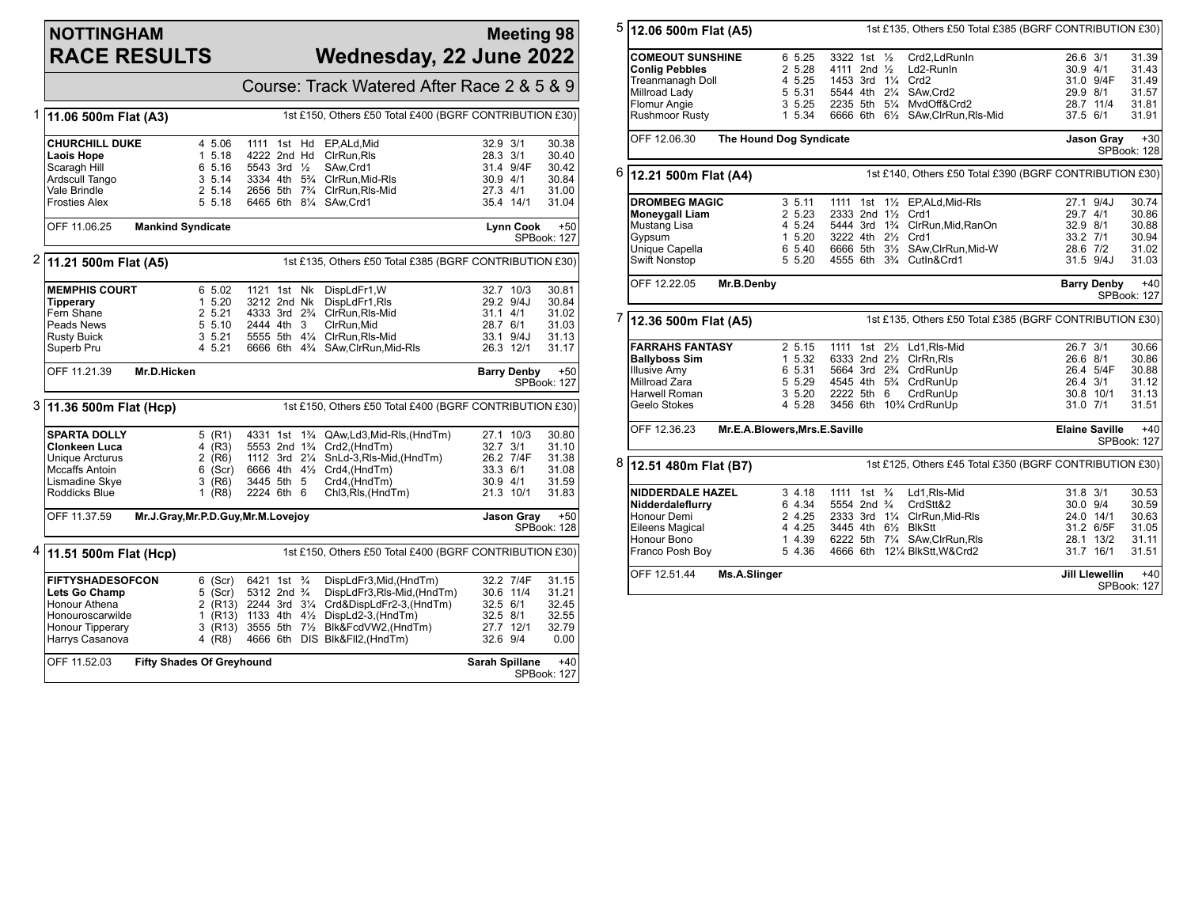## **NOTTINGHAM RACE RESULTS**

## **Meeting 98 Wednesday, 22 June 2022**

| Course: Track Watered After Race 2 & 5 & 9                                                                            |                                                                                                                    |  |  |                                                                                                                                                                                                                                                          |                                              |                                                  |                                                    |
|-----------------------------------------------------------------------------------------------------------------------|--------------------------------------------------------------------------------------------------------------------|--|--|----------------------------------------------------------------------------------------------------------------------------------------------------------------------------------------------------------------------------------------------------------|----------------------------------------------|--------------------------------------------------|----------------------------------------------------|
| 1st £150, Others £50 Total £400 (BGRF CONTRIBUTION £30)<br>1 11.06 500m Flat (A3)                                     |                                                                                                                    |  |  |                                                                                                                                                                                                                                                          |                                              |                                                  |                                                    |
| <b>CHURCHILL DUKE</b><br><b>Laois Hope</b><br>Scaragh Hill<br>6 5.16<br>Ardscull Tango<br>Vale Brindle                | 4 5.06<br>1111 1st Hd<br>1, 5.18<br>4222 2nd Hd<br>5543 3rd 1/2<br>3, 5.14<br>2 5.14                               |  |  | EP, ALd, Mid<br>CirRun.Ris<br>SAw.Crd1<br>3334 4th 5 <sup>3</sup> / <sub>4</sub> ClrRun, Mid-RIs<br>2656 5th 73/4 ClrRun, RIs-Mid                                                                                                                        | 32.9 3/1<br>28.3 3/1<br>30.9 4/1<br>27.3 4/1 | 31.4 9/4F                                        | 30.38<br>30.40<br>30.42<br>30.84<br>31.00          |
| <b>Frosties Alex</b>                                                                                                  | 5 5.18                                                                                                             |  |  | 6465 6th 81/4 SAw, Crd1                                                                                                                                                                                                                                  |                                              | 35.4 14/1                                        | 31.04                                              |
| OFF 11.06.25<br><b>Mankind Syndicate</b><br><b>Lynn Cook</b><br>SPBook: 127                                           |                                                                                                                    |  |  |                                                                                                                                                                                                                                                          |                                              | $+50$                                            |                                                    |
| $2$ 11.21 500m Flat (A5)<br>1st £135, Others £50 Total £385 (BGRF CONTRIBUTION £30)                                   |                                                                                                                    |  |  |                                                                                                                                                                                                                                                          |                                              |                                                  |                                                    |
| <b>MEMPHIS COURT</b><br>Tipperary<br>Fern Shane<br>2 5.21<br>Peads News<br><b>Rusty Buick</b><br>Superb Pru<br>4 5.21 | 6 5.02<br>1121 1st Nk<br>1, 5.20<br>3212 2nd Nk<br>5 5.10<br>2444 4th 3<br>35.21                                   |  |  | DispLdFr1, W<br>DispLdFr1, RIs<br>4333 3rd 2 <sup>3</sup> / <sub>4</sub> ClrRun, Rls-Mid<br>CIrRun.Mid<br>5555 5th 41/4 ClrRun.RIs-Mid<br>6666 6th 43/4 SAw, ClrRun, Mid-RIs                                                                             | $31.1$ 4/1<br>28.7 6/1                       | 32.7 10/3<br>29.2 9/4J<br>33.1 9/4J<br>26.3 12/1 | 30.81<br>30.84<br>31.02<br>31.03<br>31.13<br>31.17 |
| OFF 11.21.39<br>Mr.D.Hicken                                                                                           |                                                                                                                    |  |  |                                                                                                                                                                                                                                                          |                                              | <b>Barry Denby</b>                               | $+50$<br>SPBook: 127                               |
| 3 11.36 500m Flat (Hcp)                                                                                               | 1st £150, Others £50 Total £400 (BGRF CONTRIBUTION £30)                                                            |  |  |                                                                                                                                                                                                                                                          |                                              |                                                  |                                                    |
| <b>SPARTA DOLLY</b><br>Clonkeen Luca<br>Unique Arcturus<br><b>Mccaffs Antoin</b><br>Lismadine Skve<br>Roddicks Blue   | 5 (R1)<br>4 $(R3)$<br>$2$ (R6)<br>$6$ (Scr)<br>3445 5th 5<br>3 (R6)<br>2224 6th 6<br>1 (R8)                        |  |  | 4331 1st 1 <sup>3</sup> / <sub>4</sub> QAw, Ld 3, Mid-RIs, (Hnd Tm)<br>5553 2nd 1 <sup>3</sup> / <sub>4</sub> Crd2, (HndTm)<br>1112 3rd 21/4 SnLd-3, RIs-Mid, (HndTm)<br>6666 4th 41/2 Crd4, (HndTm)<br>Crd4, (HndTm)<br>Chl <sub>3</sub> , Rls, (HndTm) | 32.7 3/1<br>$33.3\quad 6/1$<br>30.9 4/1      | 27.1 10/3<br>26.2 7/4F<br>21.3 10/1              | 30.80<br>31.10<br>31.38<br>31.08<br>31.59<br>31.83 |
| Mr.J.Gray, Mr.P.D.Guy, Mr.M.Lovejov<br>OFF 11.37.59                                                                   |                                                                                                                    |  |  | Jason Gray<br>$+50$<br>SPBook: 128                                                                                                                                                                                                                       |                                              |                                                  |                                                    |
| $4 \mid 11.51 \; 500m$ Flat (Hcp)                                                                                     |                                                                                                                    |  |  | 1st £150, Others £50 Total £400 (BGRF CONTRIBUTION £30)                                                                                                                                                                                                  |                                              |                                                  |                                                    |
| <b>FIFTYSHADESOFCON</b><br>Lets Go Champ<br>Honour Athena<br>Honouroscarwilde<br>Honour Tipperary<br>Harrys Casanova  | 6421 1st <sup>3</sup> / <sub>4</sub><br>$6$ (Scr)<br>$5$ (Scr)<br>5312 2nd 3/4<br>3 (R13)<br>3555 5th 7½<br>4 (R8) |  |  | DispLdFr3, Mid, (HndTm)<br>DispLdFr3,Rls-Mid,(HndTm)<br>2 (R13) 2244 3rd 31/4 Crd&DispLdFr2-3, (HndTm)<br>1 (R13) 1133 4th 41/2 DispLd2-3, (HndTm)<br>Blk&FcdVW2,(HndTm)<br>4666 6th DIS Blk&FII2, (HndTm)                                               | 32.5 6/1<br>$32.5$ $8/1$<br>32.6 9/4         | 32.2 7/4F<br>30.6 11/4<br>27.7 12/1              | 31.15<br>31.21<br>32.45<br>32.55<br>32.79<br>0.00  |
| OFF 11.52.03<br><b>Fifty Shades Of Greyhound</b>                                                                      |                                                                                                                    |  |  |                                                                                                                                                                                                                                                          | Sarah Spillane                               |                                                  | $+40$<br><b>SPBook: 127</b>                        |

| 5                            | 12.06 500m Flat (A5)    |                               |                                                   | 1st £135, Others £50 Total £385 (BGRF CONTRIBUTION £30)   |                                                         |  |  |
|------------------------------|-------------------------|-------------------------------|---------------------------------------------------|-----------------------------------------------------------|---------------------------------------------------------|--|--|
|                              | <b>COMEOUT SUNSHINE</b> | 6 5.25                        | 3322 1st 1/2                                      | Crd2.LdRunIn                                              | 26.6 3/1<br>31.39                                       |  |  |
|                              | <b>Conlig Pebbles</b>   | 2 5.28                        | 4111 2nd 1/2                                      | Ld2-RunIn                                                 | 30.9 4/1<br>31.43                                       |  |  |
|                              | Treanmanagh Doll        | 4 5.25                        | 1453 3rd 11/4 Crd2                                |                                                           | 31.0 9/4F<br>31.49                                      |  |  |
|                              | Millroad Lady           | 5 5.31                        | 5544 4th 21/4 SAw.Crd2                            |                                                           | 29.9 8/1<br>31.57                                       |  |  |
|                              | Flomur Angie            | 3 5.25                        | 2235 5th 51/4 MvdOff&Crd2                         |                                                           | 28.7 11/4<br>31.81                                      |  |  |
|                              | Rushmoor Rusty          | 1 5.34                        |                                                   | 6666 6th 61/2 SAw, ClrRun, RIs-Mid                        | 37.5 6/1<br>31.91                                       |  |  |
|                              |                         |                               |                                                   |                                                           |                                                         |  |  |
|                              | OFF 12.06.30            | The Hound Dog Syndicate       |                                                   | $+30$<br><b>Jason Gray</b><br>SPBook: 128                 |                                                         |  |  |
| 6                            | 12.21 500m Flat (A4)    |                               |                                                   |                                                           | 1st £140, Others £50 Total £390 (BGRF CONTRIBUTION £30) |  |  |
|                              | <b>DROMBEG MAGIC</b>    | 3, 5.11                       |                                                   | 1111 1st 11/2 EP, ALd, Mid-RIs                            | 27.1 9/4J<br>30.74                                      |  |  |
|                              | <b>Moneygall Liam</b>   | 2 5.23                        | 2333 2nd 11/2 Crd1                                |                                                           | 30.86<br>29.7 4/1                                       |  |  |
|                              | Mustang Lisa            | 4 5.24                        |                                                   | 5444 3rd 1 <sup>3</sup> / <sub>4</sub> ClrRun, Mid, RanOn | 32.9 8/1<br>30.88                                       |  |  |
|                              | Gypsum                  | 1, 5.20                       | 3222 4th 21/2 Crd1                                |                                                           | 33.2 7/1<br>30.94                                       |  |  |
|                              | Unique Capella          | 6 5.40                        |                                                   | 6666 5th 31/2 SAw, ClrRun, Mid-W                          | 28.6 7/2<br>31.02                                       |  |  |
|                              | <b>Swift Nonstop</b>    | 5 5.20                        | 4555 6th 3 <sup>3</sup> / <sub>4</sub> Cutln&Crd1 |                                                           | 31.5 9/4J<br>31.03                                      |  |  |
|                              | OFF 12.22.05            | Mr.B.Denby                    |                                                   |                                                           | $+40$<br><b>Barry Denby</b><br>SPBook: 127              |  |  |
|                              | 7 12.36 500m Flat (A5)  |                               |                                                   |                                                           | 1st £135, Others £50 Total £385 (BGRF CONTRIBUTION £30) |  |  |
|                              | <b>FARRAHS FANTASY</b>  | 2 5.15                        | 1111 1st 21/2 Ld1, RIs-Mid                        |                                                           | 26.7 3/1<br>30.66                                       |  |  |
|                              | <b>Ballyboss Sim</b>    | 1 5.32                        | 6333 2nd 21/2 ClrRn.Rls                           |                                                           | 30.86<br>26.6 8/1                                       |  |  |
|                              | <b>Illusive Amy</b>     | 6 5.31                        | 5664 3rd 2 <sup>3</sup> / <sub>4</sub> CrdRunUp   |                                                           | 26.4 5/4F<br>30.88                                      |  |  |
|                              | Millroad Zara           | 5 5.29                        | 4545 4th 5 <sup>3</sup> / <sub>4</sub> CrdRunUp   |                                                           | 26.4 3/1<br>31.12                                       |  |  |
|                              | Harwell Roman           | 3 5.20                        | 2222 5th 6                                        | CrdRunUp                                                  | 30.8 10/1<br>31.13                                      |  |  |
|                              | Geelo Stokes            | 4 5.28                        | 3456 6th 10% CrdRunUp                             |                                                           | 31.0 7/1<br>31.51                                       |  |  |
|                              | OFF 12.36.23            | Mr.E.A.Blowers, Mrs.E.Saville |                                                   |                                                           | $+40$<br><b>Elaine Saville</b><br>SPBook: 127           |  |  |
| 8                            | 12.51 480m Flat (B7)    |                               |                                                   |                                                           | 1st £125, Others £45 Total £350 (BGRF CONTRIBUTION £30) |  |  |
|                              | <b>NIDDERDALE HAZEL</b> | 3, 4.18                       | 1111 1st <sup>3</sup> / <sub>4</sub>              | Ld1,RIs-Mid                                               | 31.8 3/1<br>30.53                                       |  |  |
|                              | Nidderdaleflurry        | 6 4.34                        | 5554 2nd <sup>3</sup> / <sub>4</sub>              | CrdStt&2                                                  | 30.0 9/4<br>30.59                                       |  |  |
|                              | Honour Demi             | 2 4.25                        |                                                   | 2333 3rd 11/4 ClrRun, Mid-RIs                             | 24.0 14/1<br>30.63                                      |  |  |
|                              | Eileens Magical         | 4 4.25                        | 3445 4th 61/2 BlkStt                              |                                                           | 31.2 6/5F<br>31.05                                      |  |  |
|                              | Honour Bono             | 1 4.39                        |                                                   | 6222 5th 71/4 SAw, ClrRun, RIs                            | 28.1 13/2<br>31.11                                      |  |  |
|                              | Franco Posh Boy         | 5 4.36                        |                                                   | 4666 6th 121/4 BlkStt, W&Crd2                             | 31.7 16/1<br>31.51                                      |  |  |
| OFF 12.51.44<br>Ms.A.Slinger |                         |                               |                                                   |                                                           | $+40$<br>Jill Llewellin<br>SPBook: 127                  |  |  |